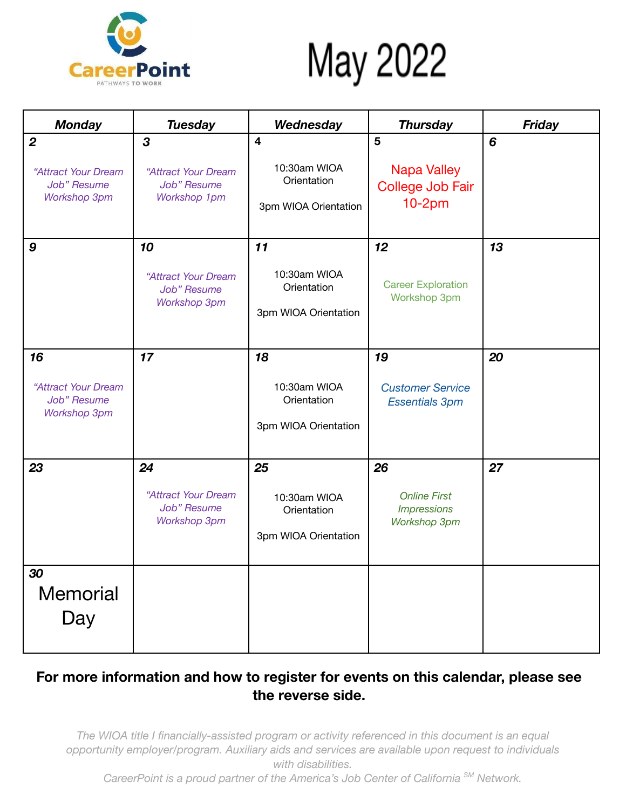

## May 2022

| <b>Monday</b>                                                                 | <b>Tuesday</b>                                                  | Wednesday                                                                      | <b>Thursday</b>                                                 | <b>Friday</b> |
|-------------------------------------------------------------------------------|-----------------------------------------------------------------|--------------------------------------------------------------------------------|-----------------------------------------------------------------|---------------|
| $\boldsymbol{2}$<br>"Attract Your Dream<br>Job" Resume<br><b>Workshop 3pm</b> | 3<br>"Attract Your Dream<br>Job" Resume<br>Workshop 1pm         | $\overline{\mathbf{4}}$<br>10:30am WIOA<br>Orientation<br>3pm WIOA Orientation | 5<br><b>Napa Valley</b><br>College Job Fair<br>$10-2pm$         | 6             |
| 9                                                                             | 10<br>"Attract Your Dream<br>Job" Resume<br><b>Workshop 3pm</b> | 11<br>10:30am WIOA<br>Orientation<br>3pm WIOA Orientation                      | 12<br><b>Career Exploration</b><br>Workshop 3pm                 | 13            |
| 16<br>"Attract Your Dream<br>Job" Resume<br><b>Workshop 3pm</b>               | 17                                                              | 18<br>10:30am WIOA<br>Orientation<br>3pm WIOA Orientation                      | 19<br><b>Customer Service</b><br><b>Essentials 3pm</b>          | 20            |
| 23                                                                            | 24<br>"Attract Your Dream<br>Job" Resume<br><b>Workshop 3pm</b> | 25<br>10:30am WIOA<br>Orientation<br>3pm WIOA Orientation                      | 26<br><b>Online First</b><br><b>Impressions</b><br>Workshop 3pm | 27            |
| 30<br>Memorial<br>Day                                                         |                                                                 |                                                                                |                                                                 |               |

## **For more information and how to register for events on this calendar, please see the reverse side.**

*The WIOA title I financially-assisted program or activity referenced in this document is an equal opportunity employer/program. Auxiliary aids and services are available upon request to individuals with disabilities.*

*CareerPoint is a proud partner of the America's Job Center of California SM Network.*